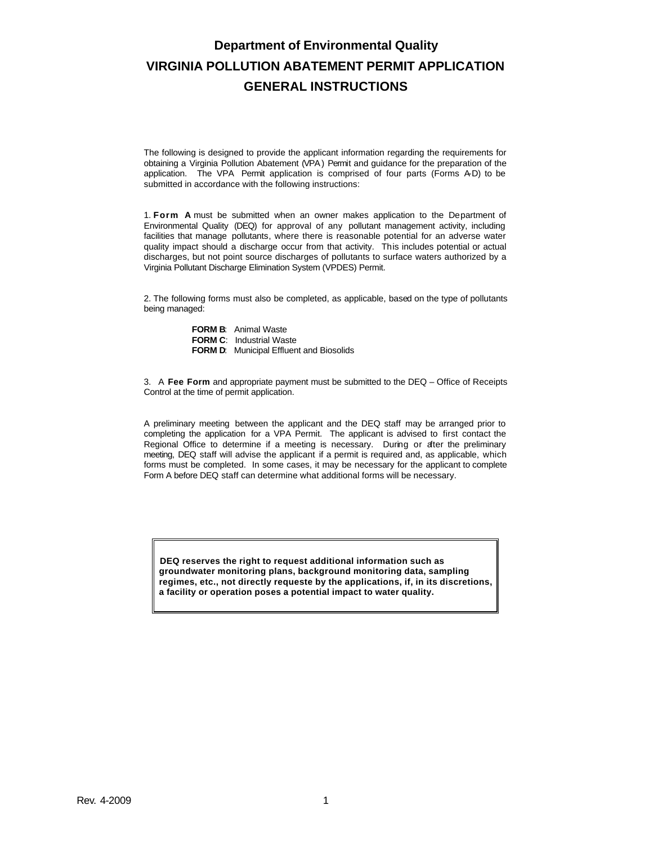# **Department of Environmental Quality VIRGINIA POLLUTION ABATEMENT PERMIT APPLICATION GENERAL INSTRUCTIONS**

The following is designed to provide the applicant information regarding the requirements for obtaining a Virginia Pollution Abatement (VPA) Permit and guidance for the preparation of the application. The VPA Permit application is comprised of four parts (Forms A-D) to be submitted in accordance with the following instructions:

1. **Form A** must be submitted when an owner makes application to the Department of Environmental Quality (DEQ) for approval of any pollutant management activity, including facilities that manage pollutants, where there is reasonable potential for an adverse water quality impact should a discharge occur from that activity. This includes potential or actual discharges, but not point source discharges of pollutants to surface waters authorized by a Virginia Pollutant Discharge Elimination System (VPDES) Permit.

2. The following forms must also be completed, as applicable, based on the type of pollutants being managed:

> **FORM B**: Animal Waste **FORM C**: Industrial Waste **FORM D**: Municipal Effluent and Biosolids

3. A **Fee Form** and appropriate payment must be submitted to the DEQ – Office of Receipts Control at the time of permit application.

A preliminary meeting between the applicant and the DEQ staff may be arranged prior to completing the application for a VPA Permit. The applicant is advised to first contact the Regional Office to determine if a meeting is necessary. During or after the preliminary meeting, DEQ staff will advise the applicant if a permit is required and, as applicable, which forms must be completed. In some cases, it may be necessary for the applicant to complete Form A before DEQ staff can determine what additional forms will be necessary.

**DEQ reserves the right to request additional information such as groundwater monitoring plans, background monitoring data, sampling regimes, etc., not directly requeste by the applications, if, in its discretions, a facility or operation poses a potential impact to water quality.**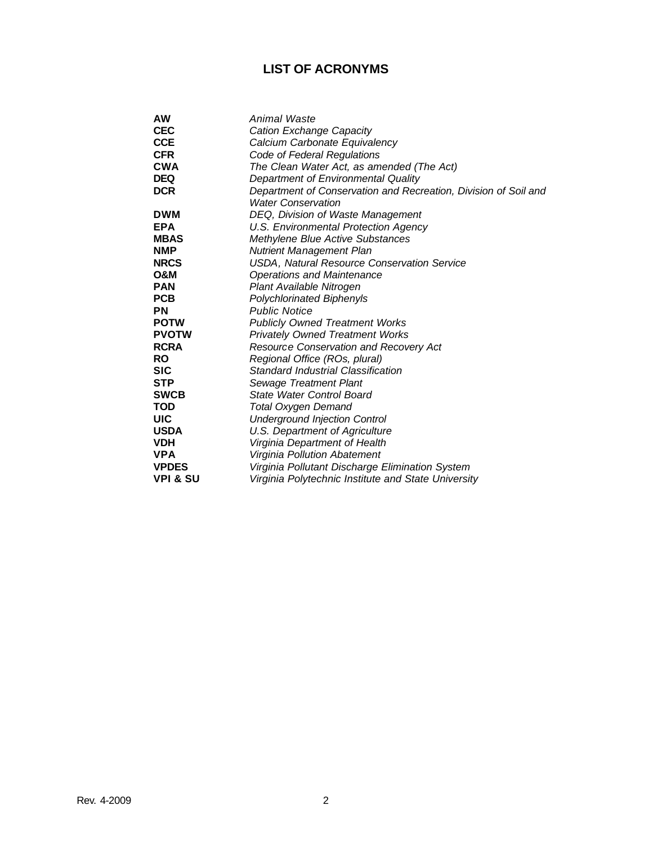# **LIST OF ACRONYMS**

| AW                  | Animal Waste                                                    |  |  |
|---------------------|-----------------------------------------------------------------|--|--|
| <b>CEC</b>          | Cation Exchange Capacity                                        |  |  |
| <b>CCE</b>          | Calcium Carbonate Equivalency                                   |  |  |
| <b>CFR</b>          | Code of Federal Regulations                                     |  |  |
| CWA                 | The Clean Water Act, as amended (The Act)                       |  |  |
| <b>DEQ</b>          | Department of Environmental Quality                             |  |  |
| <b>DCR</b>          | Department of Conservation and Recreation, Division of Soil and |  |  |
|                     | <b>Water Conservation</b>                                       |  |  |
| <b>DWM</b>          | DEQ, Division of Waste Management                               |  |  |
| <b>EPA</b>          | U.S. Environmental Protection Agency                            |  |  |
| <b>MBAS</b>         | Methylene Blue Active Substances                                |  |  |
| <b>NMP</b>          | <b>Nutrient Management Plan</b>                                 |  |  |
| <b>NRCS</b>         | USDA, Natural Resource Conservation Service                     |  |  |
| O&M                 | <b>Operations and Maintenance</b>                               |  |  |
| <b>PAN</b>          | Plant Available Nitrogen                                        |  |  |
| <b>PCB</b>          | <b>Polychlorinated Biphenyls</b>                                |  |  |
| ΡN                  | <b>Public Notice</b>                                            |  |  |
| <b>POTW</b>         | <b>Publicly Owned Treatment Works</b>                           |  |  |
| <b>PVOTW</b>        | <b>Privately Owned Treatment Works</b>                          |  |  |
| <b>RCRA</b>         | Resource Conservation and Recovery Act                          |  |  |
| RO                  | Regional Office (ROs, plural)                                   |  |  |
| SIC                 | Standard Industrial Classification                              |  |  |
| <b>STP</b>          | Sewage Treatment Plant                                          |  |  |
| <b>SWCB</b>         | State Water Control Board                                       |  |  |
| TOD                 | Total Oxygen Demand                                             |  |  |
| UIC                 | <b>Underground Injection Control</b>                            |  |  |
| <b>USDA</b>         | U.S. Department of Agriculture                                  |  |  |
| <b>VDH</b>          | Virginia Department of Health                                   |  |  |
| <b>VPA</b>          | Virginia Pollution Abatement                                    |  |  |
| <b>VPDES</b>        | Virginia Pollutant Discharge Elimination System                 |  |  |
| <b>VPI &amp; SU</b> | Virginia Polytechnic Institute and State University             |  |  |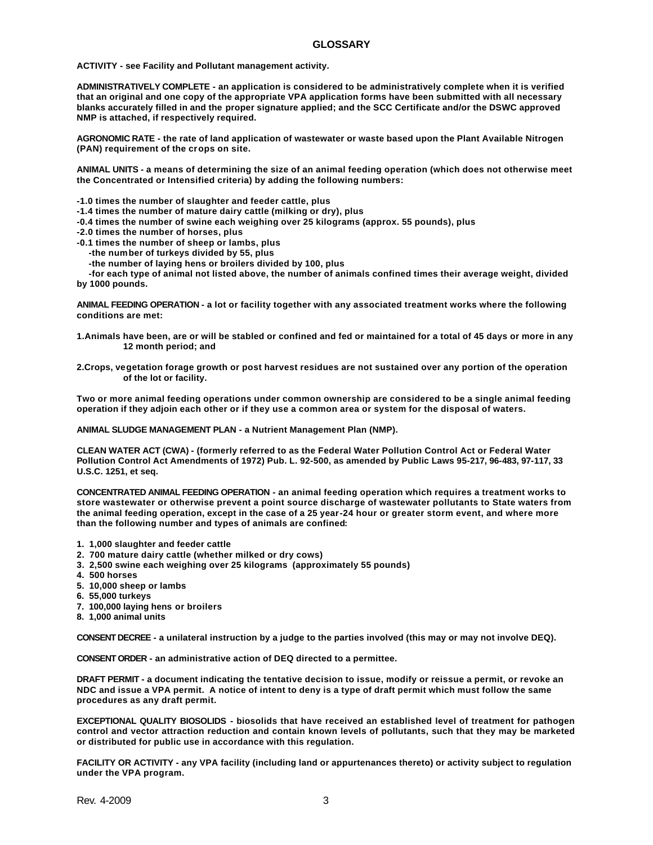**ACTIVITY - see Facility and Pollutant management activity.**

**ADMINISTRATIVELY COMPLETE - an application is considered to be administratively complete when it is verified that an original and one copy of the appropriate VPA application forms have been submitted with all necessary blanks accurately filled in and the proper signature applied; and the SCC Certificate and/or the DSWC approved NMP is attached, if respectively required.**

**AGRONOMIC RATE - the rate of land application of wastewater or waste based upon the Plant Available Nitrogen (PAN) requirement of the crops on site.**

**ANIMAL UNITS - a means of determining the size of an animal feeding operation (which does not otherwise meet the Concentrated or Intensified criteria) by adding the following numbers:**

**-1.0 times the number of slaughter and feeder cattle, plus**

- **-1.4 times the number of mature dairy cattle (milking or dry), plus**
- **-0.4 times the number of swine each weighing over 25 kilograms (approx. 55 pounds), plus**
- **-2.0 times the number of horses, plus**
- **-0.1 times the number of sheep or lambs, plus**
	- **-the number of turkeys divided by 55, plus**
	- **-the number of laying hens or broilers divided by 100, plus**

 **-for each type of animal not listed above, the number of animals confined times their average weight, divided by 1000 pounds.**

**ANIMAL FEEDING OPERATION - a lot or facility together with any associated treatment works where the following conditions are met:**

- **1.Animals have been, are or will be stabled or confined and fed or maintained for a total of 45 days or more in any 12 month period; and**
- **2.Crops, vegetation forage growth or post harvest residues are not sustained over any portion of the operation of the lot or facility.**

**Two or more animal feeding operations under common ownership are considered to be a single animal feeding operation if they adjoin each other or if they use a common area or system for the disposal of waters.**

**ANIMAL SLUDGE MANAGEMENT PLAN - a Nutrient Management Plan (NMP).** 

**CLEAN WATER ACT (CWA) - (formerly referred to as the Federal Water Pollution Control Act or Federal Water Pollution Control Act Amendments of 1972) Pub. L. 92-500, as amended by Public Laws 95-217, 96-483, 97-117, 33 U.S.C. 1251, et seq.**

**CONCENTRATED ANIMAL FEEDING OPERATION - an animal feeding operation which requires a treatment works to store wastewater or otherwise prevent a point source discharge of wastewater pollutants to State waters from the animal feeding operation, except in the case of a 25 year-24 hour or greater storm event, and where more than the following number and types of animals are confined:**

- **1. 1,000 slaughter and feeder cattle**
- **2. 700 mature dairy cattle (whether milked or dry cows)**
- **3. 2,500 swine each weighing over 25 kilograms (approximately 55 pounds)**
- **4. 500 horses**
- **5. 10,000 sheep or lambs**
- **6. 55,000 turkeys**
- **7. 100,000 laying hens or broilers**
- **8. 1,000 animal units**

**CONSENT DECREE - a unilateral instruction by a judge to the parties involved (this may or may not involve DEQ).**

**CONSENT ORDER - an administrative action of DEQ directed to a permittee.**

**DRAFT PERMIT - a document indicating the tentative decision to issue, modify or reissue a permit, or revoke an NDC and issue a VPA permit. A notice of intent to deny is a type of draft permit which must follow the same procedures as any draft permit.**

**EXCEPTIONAL QUALITY BIOSOLIDS - biosolids that have received an established level of treatment for pathogen control and vector attraction reduction and contain known levels of pollutants, such that they may be marketed or distributed for public use in accordance with this regulation.** 

**FACILITY OR ACTIVITY - any VPA facility (including land or appurtenances thereto) or activity subject to regulation under the VPA program.**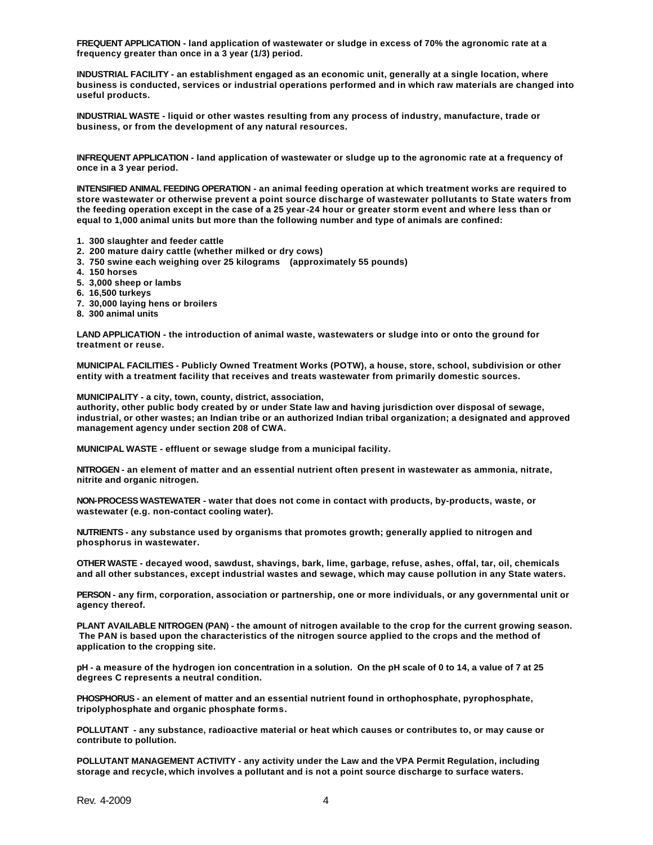**FREQUENT APPLICATION - land application of wastewater or sludge in excess of 70% the agronomic rate at a frequency greater than once in a 3 year (1/3) period.**

**INDUSTRIAL FACILITY - an establishment engaged as an economic unit, generally at a single location, where business is conducted, services or industrial operations performed and in which raw materials are changed into useful products.**

**INDUSTRIAL WASTE - liquid or other wastes resulting from any process of industry, manufacture, trade or business, or from the development of any natural resources.**

**INFREQUENT APPLICATION - land application of wastewater or sludge up to the agronomic rate at a frequency of once in a 3 year period.**

**INTENSIFIED ANIMAL FEEDING OPERATION - an animal feeding operation at which treatment works are required to store wastewater or otherwise prevent a point source discharge of wastewater pollutants to State waters from the feeding operation except in the case of a 25 year-24 hour or greater storm event and where less than or equal to 1,000 animal units but more than the following number and type of animals are confined:**

- **1. 300 slaughter and feeder cattle**
- **2. 200 mature dairy cattle (whether milked or dry cows)**
- **3. 750 swine each weighing over 25 kilograms (approximately 55 pounds)**
- **4. 150 horses**
- **5. 3,000 sheep or lambs**
- **6. 16,500 turkeys**
- **7. 30,000 laying hens or broilers**
- **8. 300 animal units**

**LAND APPLICATION - the introduction of animal waste, wastewaters or sludge into or onto the ground for treatment or reuse.**

**MUNICIPAL FACILITIES - Publicly Owned Treatment Works (POTW), a house, store, school, subdivision or other entity with a treatment facility that receives and treats wastewater from primarily domestic sources.** 

**MUNICIPALITY - a city, town, county, district, association,**

**authority, other public body created by or under State law and having jurisdiction over disposal of sewage, industrial, or other wastes; an Indian tribe or an authorized Indian tribal organization; a designated and approved management agency under section 208 of CWA.**

**MUNICIPAL WASTE - effluent or sewage sludge from a municipal facility.**

**NITROGEN - an element of matter and an essential nutrient often present in wastewater as ammonia, nitrate, nitrite and organic nitrogen.**

**NON-PROCESS WASTEWATER - water that does not come in contact with products, by-products, waste, or wastewater (e.g. non-contact cooling water).**

**NUTRIENTS - any substance used by organisms that promotes growth; generally applied to nitrogen and phosphorus in wastewater.**

**OTHER WASTE - decayed wood, sawdust, shavings, bark, lime, garbage, refuse, ashes, offal, tar, oil, chemicals and all other substances, except industrial wastes and sewage, which may cause pollution in any State waters.**

**PERSON - any firm, corporation, association or partnership, one or more individuals, or any governmental unit or agency thereof.**

**PLANT AVAILABLE NITROGEN (PAN) - the amount of nitrogen available to the crop for the current growing season. The PAN is based upon the characteristics of the nitrogen source applied to the crops and the method of application to the cropping site.**

**pH - a measure of the hydrogen ion concentration in a solution. On the pH scale of 0 to 14, a value of 7 at 25 degrees C represents a neutral condition.**

**PHOSPHORUS - an element of matter and an essential nutrient found in orthophosphate, pyrophosphate, tripolyphosphate and organic phosphate forms.**

**POLLUTANT - any substance, radioactive material or heat which causes or contributes to, or may cause or contribute to pollution.**

**POLLUTANT MANAGEMENT ACTIVITY - any activity under the Law and the VPA Permit Regulation, including storage and recycle, which involves a pollutant and is not a point source discharge to surface waters.**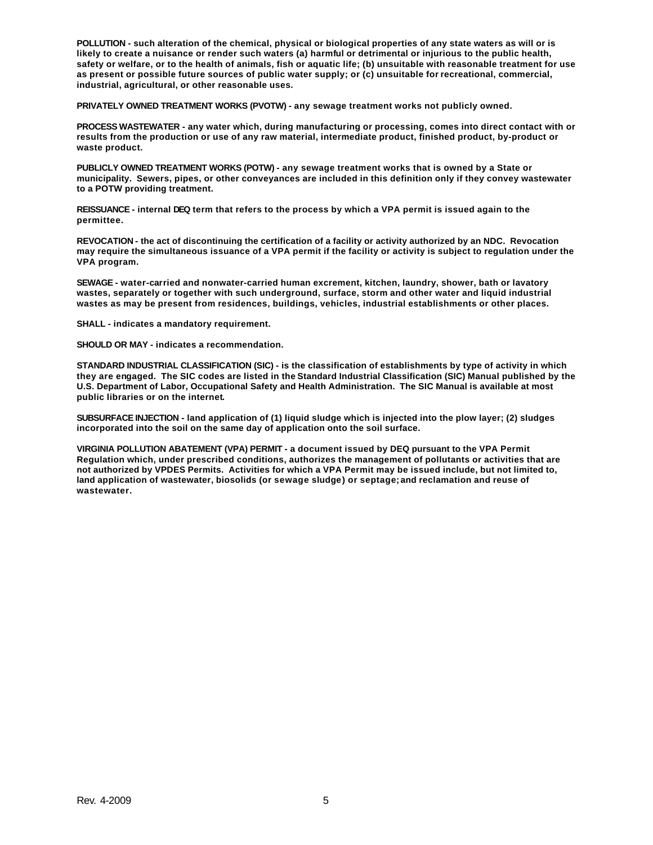**POLLUTION - such alteration of the chemical, physical or biological properties of any state waters as will or is likely to create a nuisance or render such waters (a) harmful or detrimental or injurious to the public health, safety or welfare, or to the health of animals, fish or aquatic life; (b) unsuitable with reasonable treatment for use as present or possible future sources of public water supply; or (c) unsuitable for recreational, commercial, industrial, agricultural, or other reasonable uses.**

**PRIVATELY OWNED TREATMENT WORKS (PVOTW) - any sewage treatment works not publicly owned.**

**PROCESS WASTEWATER - any water which, during manufacturing or processing, comes into direct contact with or results from the production or use of any raw material, intermediate product, finished product, by-product or waste product.**

**PUBLICLY OWNED TREATMENT WORKS (POTW) - any sewage treatment works that is owned by a State or municipality. Sewers, pipes, or other conveyances are included in this definition only if they convey wastewater to a POTW providing treatment.**

**REISSUANCE - internal DEQ term that refers to the process by which a VPA permit is issued again to the permittee.**

**REVOCATION - the act of discontinuing the certification of a facility or activity authorized by an NDC. Revocation may require the simultaneous issuance of a VPA permit if the facility or activity is subject to regulation under the VPA program.**

**SEWAGE - water-carried and nonwater-carried human excrement, kitchen, laundry, shower, bath or lavatory wastes, separately or together with such underground, surface, storm and other water and liquid industrial wastes as may be present from residences, buildings, vehicles, industrial establishments or other places.**

**SHALL - indicates a mandatory requirement.**

**SHOULD OR MAY - indicates a recommendation.**

**STANDARD INDUSTRIAL CLASSIFICATION (SIC) - is the classification of establishments by type of activity in which they are engaged. The SIC codes are listed in the Standard Industrial Classification (SIC) Manual published by the U.S. Department of Labor, Occupational Safety and Health Administration. The SIC Manual is available at most public libraries or on the internet.**

**SUBSURFACE INJECTION - land application of (1) liquid sludge which is injected into the plow layer; (2) sludges incorporated into the soil on the same day of application onto the soil surface.**

**VIRGINIA POLLUTION ABATEMENT (VPA) PERMIT - a document issued by DEQ pursuant to the VPA Permit Regulation which, under prescribed conditions, authorizes the management of pollutants or activities that are not authorized by VPDES Permits. Activities for which a VPA Permit may be issued include, but not limited to, land application of wastewater, biosolids (or sewage sludge) or septage; and reclamation and reuse of wastewater.**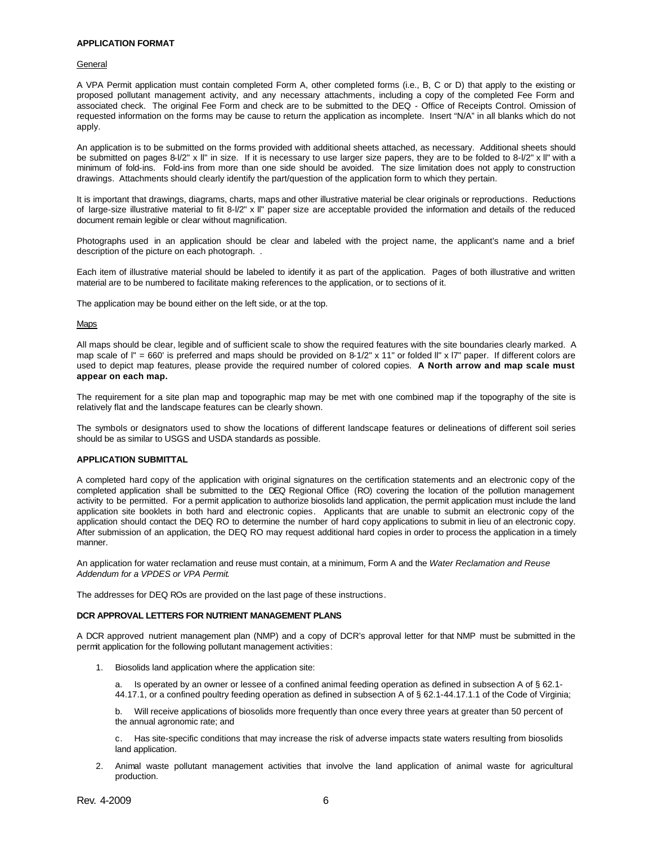### **APPLICATION FORMAT**

#### General

A VPA Permit application must contain completed Form A, other completed forms (i.e., B, C or D) that apply to the existing or proposed pollutant management activity, and any necessary attachments, including a copy of the completed Fee Form and associated check. The original Fee Form and check are to be submitted to the DEQ - Office of Receipts Control. Omission of requested information on the forms may be cause to return the application as incomplete. Insert "N/A" in all blanks which do not apply.

An application is to be submitted on the forms provided with additional sheets attached, as necessary. Additional sheets should be submitted on pages 8-l/2" x ll" in size. If it is necessary to use larger size papers, they are to be folded to 8-l/2" x ll" with a minimum of fold-ins. Fold-ins from more than one side should be avoided. The size limitation does not apply to construction drawings. Attachments should clearly identify the part/question of the application form to which they pertain.

It is important that drawings, diagrams, charts, maps and other illustrative material be clear originals or reproductions. Reductions of large-size illustrative material to fit 8-l/2" x ll" paper size are acceptable provided the information and details of the reduced document remain legible or clear without magnification.

Photographs used in an application should be clear and labeled with the project name, the applicant's name and a brief description of the picture on each photograph. .

Each item of illustrative material should be labeled to identify it as part of the application. Pages of both illustrative and written material are to be numbered to facilitate making references to the application, or to sections of it.

The application may be bound either on the left side, or at the top.

#### Maps

All maps should be clear, legible and of sufficient scale to show the required features with the site boundaries clearly marked. A map scale of  $I'' = 660'$  is preferred and maps should be provided on 8-1/2" x 11" or folded II" x I7" paper. If different colors are used to depict map features, please provide the required number of colored copies. **A North arrow and map scale must appear on each map.**

The requirement for a site plan map and topographic map may be met with one combined map if the topography of the site is relatively flat and the landscape features can be clearly shown.

The symbols or designators used to show the locations of different landscape features or delineations of different soil series should be as similar to USGS and USDA standards as possible.

## **APPLICATION SUBMITTAL**

A completed hard copy of the application with original signatures on the certification statements and an electronic copy of the completed application shall be submitted to the DEQ Regional Office (RO) covering the location of the pollution management activity to be permitted. For a permit application to authorize biosolids land application, the permit application must include the land application site booklets in both hard and electronic copies. Applicants that are unable to submit an electronic copy of the application should contact the DEQ RO to determine the number of hard copy applications to submit in lieu of an electronic copy. After submission of an application, the DEQ RO may request additional hard copies in order to process the application in a timely manner.

An application for water reclamation and reuse must contain, at a minimum, Form A and the *Water Reclamation and Reuse Addendum for a VPDES or VPA Permit*.

The addresses for DEQ ROs are provided on the last page of these instructions.

#### **DCR APPROVAL LETTERS FOR NUTRIENT MANAGEMENT PLANS**

A DCR approved nutrient management plan (NMP) and a copy of DCR's approval letter for that NMP must be submitted in the permit application for the following pollutant management activities:

1. Biosolids land application where the application site:

a. Is operated by an owner or lessee of a confined animal feeding operation as defined in subsection A of § 62.1- 44.17.1, or a confined poultry feeding operation as defined in subsection A of § 62.1-44.17.1.1 of the Code of Virginia;

b. Will receive applications of biosolids more frequently than once every three years at greater than 50 percent of the annual agronomic rate; and

c. Has site-specific conditions that may increase the risk of adverse impacts state waters resulting from biosolids land application.

2. Animal waste pollutant management activities that involve the land application of animal waste for agricultural production.